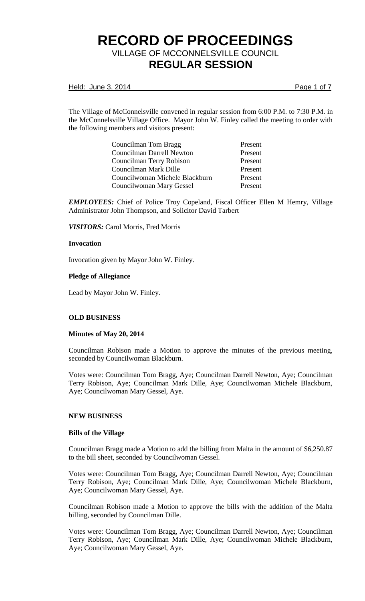Held: June 3, 2014 **Page 1 of 7** 

The Village of McConnelsville convened in regular session from 6:00 P.M. to 7:30 P.M. in the McConnelsville Village Office. Mayor John W. Finley called the meeting to order with the following members and visitors present:

| Councilman Tom Bragg           | Present |
|--------------------------------|---------|
| Councilman Darrell Newton      | Present |
| Councilman Terry Robison       | Present |
| Councilman Mark Dille          | Present |
| Councilwoman Michele Blackburn | Present |
| Councilwoman Mary Gessel       | Present |

*EMPLOYEES:* Chief of Police Troy Copeland, Fiscal Officer Ellen M Hemry, Village Administrator John Thompson, and Solicitor David Tarbert

*VISITORS:* Carol Morris, Fred Morris

#### **Invocation**

Invocation given by Mayor John W. Finley.

### **Pledge of Allegiance**

Lead by Mayor John W. Finley.

## **OLD BUSINESS**

## **Minutes of May 20, 2014**

Councilman Robison made a Motion to approve the minutes of the previous meeting, seconded by Councilwoman Blackburn.

Votes were: Councilman Tom Bragg, Aye; Councilman Darrell Newton, Aye; Councilman Terry Robison, Aye; Councilman Mark Dille, Aye; Councilwoman Michele Blackburn, Aye; Councilwoman Mary Gessel, Aye.

#### **NEW BUSINESS**

#### **Bills of the Village**

Councilman Bragg made a Motion to add the billing from Malta in the amount of \$6,250.87 to the bill sheet, seconded by Councilwoman Gessel.

Votes were: Councilman Tom Bragg, Aye; Councilman Darrell Newton, Aye; Councilman Terry Robison, Aye; Councilman Mark Dille, Aye; Councilwoman Michele Blackburn, Aye; Councilwoman Mary Gessel, Aye.

Councilman Robison made a Motion to approve the bills with the addition of the Malta billing, seconded by Councilman Dille.

Votes were: Councilman Tom Bragg, Aye; Councilman Darrell Newton, Aye; Councilman Terry Robison, Aye; Councilman Mark Dille, Aye; Councilwoman Michele Blackburn, Aye; Councilwoman Mary Gessel, Aye.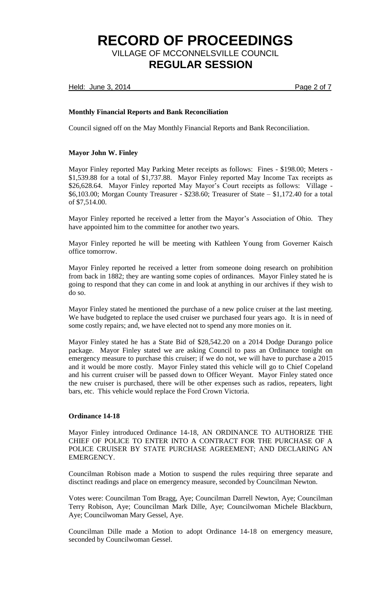Held: June 3, 2014 **Page 2 of 7** 

## **Monthly Financial Reports and Bank Reconciliation**

Council signed off on the May Monthly Financial Reports and Bank Reconciliation.

## **Mayor John W. Finley**

Mayor Finley reported May Parking Meter receipts as follows: Fines - \$198.00; Meters - \$1,539.88 for a total of \$1,737.88. Mayor Finley reported May Income Tax receipts as \$26,628.64. Mayor Finley reported May Mayor's Court receipts as follows: Village - \$6,103.00; Morgan County Treasurer - \$238.60; Treasurer of State – \$1,172.40 for a total of \$7,514.00.

Mayor Finley reported he received a letter from the Mayor's Association of Ohio. They have appointed him to the committee for another two years.

Mayor Finley reported he will be meeting with Kathleen Young from Governer Kaisch office tomorrow.

Mayor Finley reported he received a letter from someone doing research on prohibition from back in 1882; they are wanting some copies of ordinances. Mayor Finley stated he is going to respond that they can come in and look at anything in our archives if they wish to do so.

Mayor Finley stated he mentioned the purchase of a new police cruiser at the last meeting. We have budgeted to replace the used cruiser we purchased four years ago. It is in need of some costly repairs; and, we have elected not to spend any more monies on it.

Mayor Finley stated he has a State Bid of \$28,542.20 on a 2014 Dodge Durango police package. Mayor Finley stated we are asking Council to pass an Ordinance tonight on emergency measure to purchase this cruiser; if we do not, we will have to purchase a 2015 and it would be more costly. Mayor Finley stated this vehicle will go to Chief Copeland and his current cruiser will be passed down to Officer Weyant. Mayor Finley stated once the new cruiser is purchased, there will be other expenses such as radios, repeaters, light bars, etc. This vehicle would replace the Ford Crown Victoria.

## **Ordinance 14-18**

Mayor Finley introduced Ordinance 14-18, AN ORDINANCE TO AUTHORIZE THE CHIEF OF POLICE TO ENTER INTO A CONTRACT FOR THE PURCHASE OF A POLICE CRUISER BY STATE PURCHASE AGREEMENT; AND DECLARING AN EMERGENCY.

Councilman Robison made a Motion to suspend the rules requiring three separate and disctinct readings and place on emergency measure, seconded by Councilman Newton.

Votes were: Councilman Tom Bragg, Aye; Councilman Darrell Newton, Aye; Councilman Terry Robison, Aye; Councilman Mark Dille, Aye; Councilwoman Michele Blackburn, Aye; Councilwoman Mary Gessel, Aye.

Councilman Dille made a Motion to adopt Ordinance 14-18 on emergency measure, seconded by Councilwoman Gessel.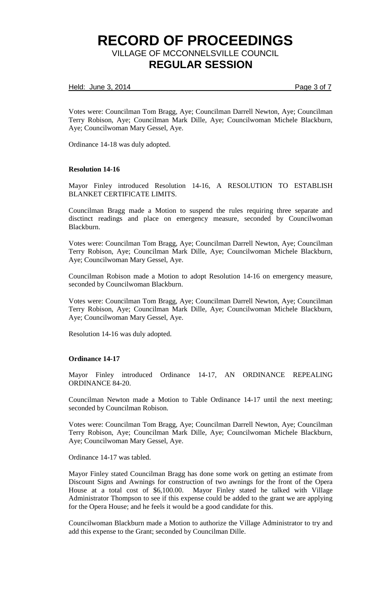### Held: June 3, 2014 **Page 3 of 7**

Votes were: Councilman Tom Bragg, Aye; Councilman Darrell Newton, Aye; Councilman Terry Robison, Aye; Councilman Mark Dille, Aye; Councilwoman Michele Blackburn, Aye; Councilwoman Mary Gessel, Aye.

Ordinance 14-18 was duly adopted.

### **Resolution 14-16**

Mayor Finley introduced Resolution 14-16, A RESOLUTION TO ESTABLISH BLANKET CERTIFICATE LIMITS.

Councilman Bragg made a Motion to suspend the rules requiring three separate and disctinct readings and place on emergency measure, seconded by Councilwoman Blackburn.

Votes were: Councilman Tom Bragg, Aye; Councilman Darrell Newton, Aye; Councilman Terry Robison, Aye; Councilman Mark Dille, Aye; Councilwoman Michele Blackburn, Aye; Councilwoman Mary Gessel, Aye.

Councilman Robison made a Motion to adopt Resolution 14-16 on emergency measure, seconded by Councilwoman Blackburn.

Votes were: Councilman Tom Bragg, Aye; Councilman Darrell Newton, Aye; Councilman Terry Robison, Aye; Councilman Mark Dille, Aye; Councilwoman Michele Blackburn, Aye; Councilwoman Mary Gessel, Aye.

Resolution 14-16 was duly adopted.

#### **Ordinance 14-17**

Mayor Finley introduced Ordinance 14-17, AN ORDINANCE REPEALING ORDINANCE 84-20.

Councilman Newton made a Motion to Table Ordinance 14-17 until the next meeting; seconded by Councilman Robison.

Votes were: Councilman Tom Bragg, Aye; Councilman Darrell Newton, Aye; Councilman Terry Robison, Aye; Councilman Mark Dille, Aye; Councilwoman Michele Blackburn, Aye; Councilwoman Mary Gessel, Aye.

Ordinance 14-17 was tabled.

Mayor Finley stated Councilman Bragg has done some work on getting an estimate from Discount Signs and Awnings for construction of two awnings for the front of the Opera House at a total cost of \$6,100.00. Mayor Finley stated he talked with Village Administrator Thompson to see if this expense could be added to the grant we are applying for the Opera House; and he feels it would be a good candidate for this.

Councilwoman Blackburn made a Motion to authorize the Village Administrator to try and add this expense to the Grant; seconded by Councilman Dille.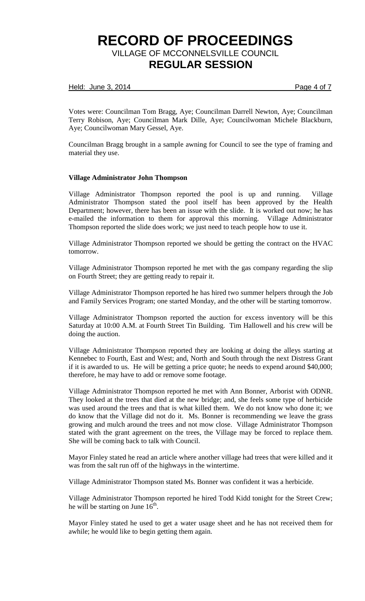#### Held: June 3, 2014 **Page 4 of 7**

Votes were: Councilman Tom Bragg, Aye; Councilman Darrell Newton, Aye; Councilman Terry Robison, Aye; Councilman Mark Dille, Aye; Councilwoman Michele Blackburn, Aye; Councilwoman Mary Gessel, Aye.

Councilman Bragg brought in a sample awning for Council to see the type of framing and material they use.

### **Village Administrator John Thompson**

Village Administrator Thompson reported the pool is up and running. Village Administrator Thompson stated the pool itself has been approved by the Health Department; however, there has been an issue with the slide. It is worked out now; he has e-mailed the information to them for approval this morning. Village Administrator Thompson reported the slide does work; we just need to teach people how to use it.

Village Administrator Thompson reported we should be getting the contract on the HVAC tomorrow.

Village Administrator Thompson reported he met with the gas company regarding the slip on Fourth Street; they are getting ready to repair it.

Village Administrator Thompson reported he has hired two summer helpers through the Job and Family Services Program; one started Monday, and the other will be starting tomorrow.

Village Administrator Thompson reported the auction for excess inventory will be this Saturday at 10:00 A.M. at Fourth Street Tin Building. Tim Hallowell and his crew will be doing the auction.

Village Administrator Thompson reported they are looking at doing the alleys starting at Kennebec to Fourth, East and West; and, North and South through the next Distress Grant if it is awarded to us. He will be getting a price quote; he needs to expend around \$40,000; therefore, he may have to add or remove some footage.

Village Administrator Thompson reported he met with Ann Bonner, Arborist with ODNR. They looked at the trees that died at the new bridge; and, she feels some type of herbicide was used around the trees and that is what killed them. We do not know who done it; we do know that the Village did not do it. Ms. Bonner is recommending we leave the grass growing and mulch around the trees and not mow close. Village Administrator Thompson stated with the grant agreement on the trees, the Village may be forced to replace them. She will be coming back to talk with Council.

Mayor Finley stated he read an article where another village had trees that were killed and it was from the salt run off of the highways in the wintertime.

Village Administrator Thompson stated Ms. Bonner was confident it was a herbicide.

Village Administrator Thompson reported he hired Todd Kidd tonight for the Street Crew; he will be starting on June  $16^{\text{th}}$ .

Mayor Finley stated he used to get a water usage sheet and he has not received them for awhile; he would like to begin getting them again.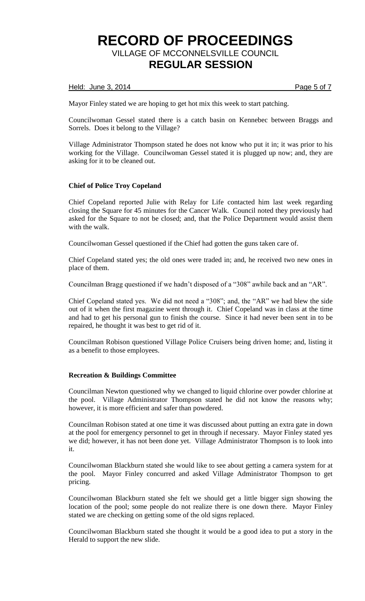### Held: June 3, 2014 **Page 5 of 7**

Mayor Finley stated we are hoping to get hot mix this week to start patching.

Councilwoman Gessel stated there is a catch basin on Kennebec between Braggs and Sorrels. Does it belong to the Village?

Village Administrator Thompson stated he does not know who put it in; it was prior to his working for the Village. Councilwoman Gessel stated it is plugged up now; and, they are asking for it to be cleaned out.

## **Chief of Police Troy Copeland**

Chief Copeland reported Julie with Relay for Life contacted him last week regarding closing the Square for 45 minutes for the Cancer Walk. Council noted they previously had asked for the Square to not be closed; and, that the Police Department would assist them with the walk.

Councilwoman Gessel questioned if the Chief had gotten the guns taken care of.

Chief Copeland stated yes; the old ones were traded in; and, he received two new ones in place of them.

Councilman Bragg questioned if we hadn't disposed of a "308" awhile back and an "AR".

Chief Copeland stated yes. We did not need a "308"; and, the "AR" we had blew the side out of it when the first magazine went through it. Chief Copeland was in class at the time and had to get his personal gun to finish the course. Since it had never been sent in to be repaired, he thought it was best to get rid of it.

Councilman Robison questioned Village Police Cruisers being driven home; and, listing it as a benefit to those employees.

#### **Recreation & Buildings Committee**

Councilman Newton questioned why we changed to liquid chlorine over powder chlorine at the pool. Village Administrator Thompson stated he did not know the reasons why; however, it is more efficient and safer than powdered.

Councilman Robison stated at one time it was discussed about putting an extra gate in down at the pool for emergency personnel to get in through if necessary. Mayor Finley stated yes we did; however, it has not been done yet. Village Administrator Thompson is to look into it.

Councilwoman Blackburn stated she would like to see about getting a camera system for at the pool. Mayor Finley concurred and asked Village Administrator Thompson to get pricing.

Councilwoman Blackburn stated she felt we should get a little bigger sign showing the location of the pool; some people do not realize there is one down there. Mayor Finley stated we are checking on getting some of the old signs replaced.

Councilwoman Blackburn stated she thought it would be a good idea to put a story in the Herald to support the new slide.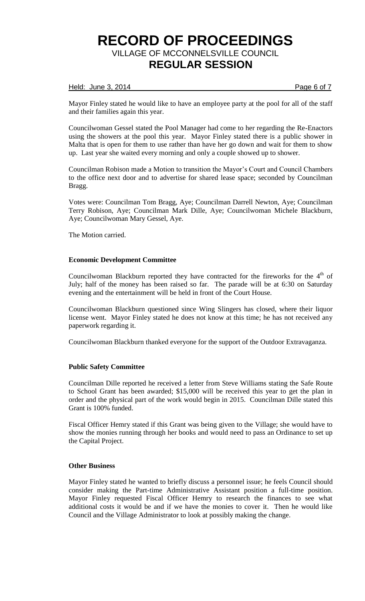### Held: June 3, 2014 **Page 6 of 7**

Mayor Finley stated he would like to have an employee party at the pool for all of the staff and their families again this year.

Councilwoman Gessel stated the Pool Manager had come to her regarding the Re-Enactors using the showers at the pool this year. Mayor Finley stated there is a public shower in Malta that is open for them to use rather than have her go down and wait for them to show up. Last year she waited every morning and only a couple showed up to shower.

Councilman Robison made a Motion to transition the Mayor's Court and Council Chambers to the office next door and to advertise for shared lease space; seconded by Councilman Bragg.

Votes were: Councilman Tom Bragg, Aye; Councilman Darrell Newton, Aye; Councilman Terry Robison, Aye; Councilman Mark Dille, Aye; Councilwoman Michele Blackburn, Aye; Councilwoman Mary Gessel, Aye.

The Motion carried.

### **Economic Development Committee**

Councilwoman Blackburn reported they have contracted for the fireworks for the  $4<sup>th</sup>$  of July; half of the money has been raised so far. The parade will be at 6:30 on Saturday evening and the entertainment will be held in front of the Court House.

Councilwoman Blackburn questioned since Wing Slingers has closed, where their liquor license went. Mayor Finley stated he does not know at this time; he has not received any paperwork regarding it.

Councilwoman Blackburn thanked everyone for the support of the Outdoor Extravaganza.

## **Public Safety Committee**

Councilman Dille reported he received a letter from Steve Williams stating the Safe Route to School Grant has been awarded; \$15,000 will be received this year to get the plan in order and the physical part of the work would begin in 2015. Councilman Dille stated this Grant is 100% funded.

Fiscal Officer Hemry stated if this Grant was being given to the Village; she would have to show the monies running through her books and would need to pass an Ordinance to set up the Capital Project.

### **Other Business**

Mayor Finley stated he wanted to briefly discuss a personnel issue; he feels Council should consider making the Part-time Administrative Assistant position a full-time position. Mayor Finley requested Fiscal Officer Hemry to research the finances to see what additional costs it would be and if we have the monies to cover it. Then he would like Council and the Village Administrator to look at possibly making the change.